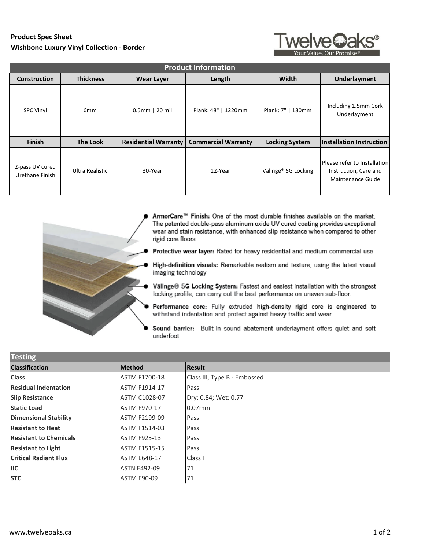## **Product Spec Sheet Wishbone Luxury Vinyl Collection - Border**



| <b>Product Information</b>         |                        |                             |                            |                                 |                                                                                   |
|------------------------------------|------------------------|-----------------------------|----------------------------|---------------------------------|-----------------------------------------------------------------------------------|
| <b>Construction</b>                | <b>Thickness</b>       | <b>Wear Layer</b>           | Length                     | Width                           | <b>Underlayment</b>                                                               |
| <b>SPC Vinyl</b>                   | 6 <sub>mm</sub>        | 0.5mm   20 mil              | Plank: 48"   1220mm        | Plank: 7"   180mm               | Including 1.5mm Cork<br>Underlayment                                              |
| Finish                             | <b>The Look</b>        | <b>Residential Warranty</b> | <b>Commercial Warranty</b> | <b>Locking System</b>           | Installation Instruction                                                          |
| 2-pass UV cured<br>Urethane Finish | <b>Ultra Realistic</b> | 30-Year                     | 12-Year                    | Välinge <sup>®</sup> 5G Locking | Please refer to Installation<br>Instruction, Care and<br><b>Maintenance Guide</b> |



- ArmorCare™ Finish: One of the most durable finishes available on the market. The patented double-pass aluminum oxide UV cured coating provides exceptional wear and stain resistance, with enhanced slip resistance when compared to other rigid core floors
- Protective wear layer: Rated for heavy residential and medium commercial use
- High-definition visuals: Remarkable realism and texture, using the latest visual imaging technology
- Välinge® 5G Locking System: Fastest and easiest installation with the strongest locking profile, can carry out the best performance on uneven sub-floor.
- Performance core: Fully extruded high-density rigid core is engineered to withstand indentation and protect against heavy traffic and wear.
- Sound barrier: Built-in sound abatement underlayment offers quiet and soft underfoot

| <b>Testing</b>                |                      |                              |  |  |
|-------------------------------|----------------------|------------------------------|--|--|
| <b>Classification</b>         | <b>IMethod</b>       | <b>Result</b>                |  |  |
| <b>Class</b>                  | <b>ASTM F1700-18</b> | Class III, Type B - Embossed |  |  |
| <b>Residual Indentation</b>   | <b>ASTM F1914-17</b> | Pass                         |  |  |
| <b>Slip Resistance</b>        | <b>ASTM C1028-07</b> | Dry: 0.84; Wet: 0.77         |  |  |
| <b>Static Load</b>            | <b>ASTM F970-17</b>  | $0.07$ mm                    |  |  |
| <b>Dimensional Stability</b>  | ASTM F2199-09        | Pass                         |  |  |
| <b>Resistant to Heat</b>      | <b>ASTM F1514-03</b> | Pass                         |  |  |
| <b>Resistant to Chemicals</b> | <b>ASTM F925-13</b>  | Pass                         |  |  |
| <b>Resistant to Light</b>     | <b>ASTM F1515-15</b> | Pass                         |  |  |
| <b>Critical Radiant Flux</b>  | <b>ASTM E648-17</b>  | Class I                      |  |  |
| $\mathsf{IIC}$                | <b>ASTN E492-09</b>  | 71                           |  |  |
| <b>STC</b>                    | <b>ASTM E90-09</b>   | 71                           |  |  |